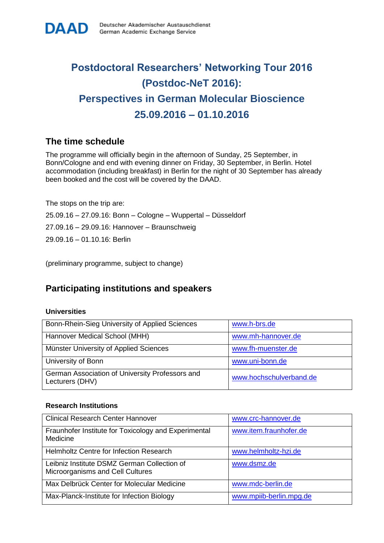# **Postdoctoral Researchers' Networking Tour 2016 (Postdoc-NeT 2016): Perspectives in German Molecular Bioscience 25.09.2016 – 01.10.2016**

## **The time schedule**

The programme will officially begin in the afternoon of Sunday, 25 September, in Bonn/Cologne and end with evening dinner on Friday, 30 September, in Berlin. Hotel accommodation (including breakfast) in Berlin for the night of 30 September has already been booked and the cost will be covered by the DAAD.

The stops on the trip are:

25.09.16 – 27.09.16: Bonn – Cologne – Wuppertal – Düsseldorf

27.09.16 – 29.09.16: Hannover – Braunschweig

29.09.16 – 01.10.16: Berlin

(preliminary programme, subject to change)

## **Participating institutions and speakers**

#### **Universities**

| Bonn-Rhein-Sieg University of Applied Sciences                     | www.h-brs.de            |
|--------------------------------------------------------------------|-------------------------|
| Hannover Medical School (MHH)                                      | www.mh-hannover.de      |
| Münster University of Applied Sciences                             | www.fh-muenster.de      |
| University of Bonn                                                 | www.uni-bonn.de         |
| German Association of University Professors and<br>Lecturers (DHV) | www.hochschulverband.de |

#### **Research Institutions**

| <b>Clinical Research Center Hannover</b>                                        | www.crc-hannover.de     |
|---------------------------------------------------------------------------------|-------------------------|
| Fraunhofer Institute for Toxicology and Experimental<br>Medicine                | www.item.fraunhofer.de  |
| Helmholtz Centre for Infection Research                                         | www.helmholtz-hzi.de    |
| Leibniz Institute DSMZ German Collection of<br>Microorganisms and Cell Cultures | www.dsmz.de             |
| Max Delbrück Center for Molecular Medicine                                      | www.mdc-berlin.de       |
| Max-Planck-Institute for Infection Biology                                      | www.mpiib-berlin.mpg.de |